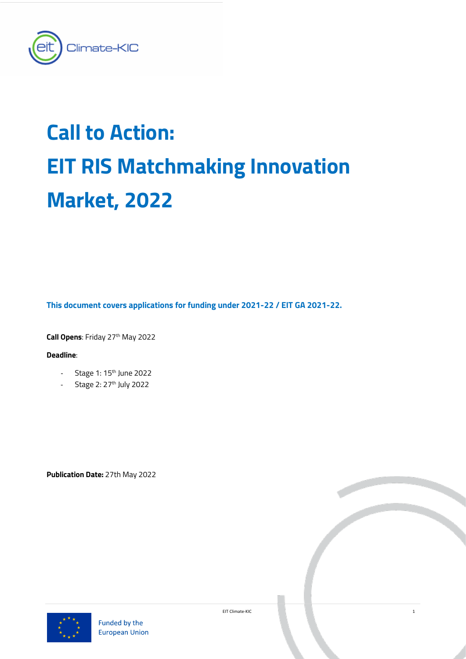

# **Call to Action: EIT RIS Matchmaking Innovation Market, 2022**

**This document covers applications for funding under 2021-22 / EIT GA 2021-22.**

**Call Opens: Friday 27th May 2022** 

# **Deadline**:

- Stage 1:  $15<sup>th</sup>$  June 2022
- Stage 2: 27<sup>th</sup> July 2022

**Publication Date:** 27th May 2022



EIT Climate-KIC 1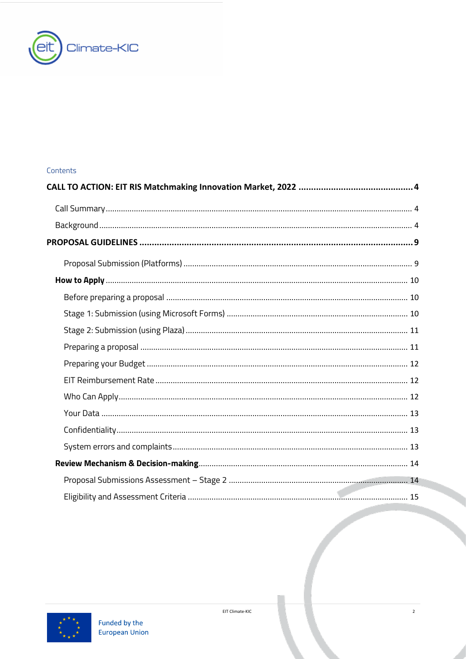

# Contents

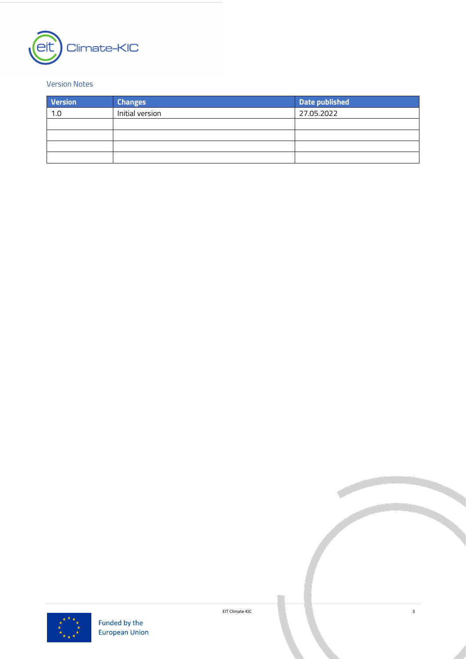

# Version Notes

| <b>Version</b> | <b>Changes</b>  | Date published |
|----------------|-----------------|----------------|
| 1.0            | Initial version | 27.05.2022     |
|                |                 |                |
|                |                 |                |
|                |                 |                |
|                |                 |                |



EIT Climate-KIC 3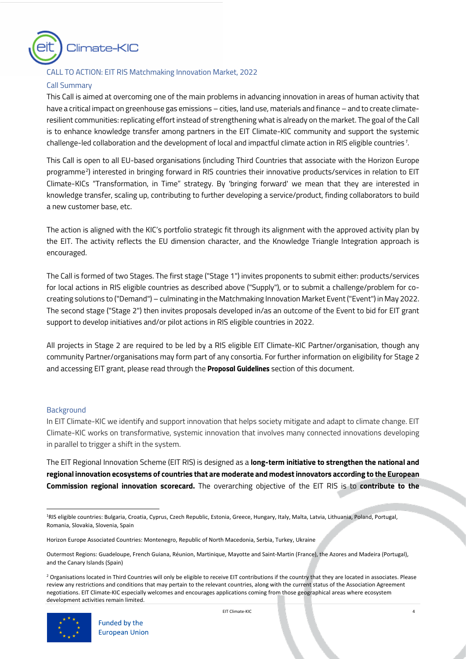

## <span id="page-3-0"></span>CALL TO ACTION: EIT RIS Matchmaking Innovation Market, 2022

## <span id="page-3-1"></span>Call Summary

This Call is aimed at overcoming one of the main problems in advancing innovation in areas of human activity that have a critical impact on greenhouse gas emissions – cities, land use, materials and finance – and to create climateresilient communities: replicating effort instead of strengthening what is already on the market. The goal of the Call is to enhance knowledge transfer among partners in the EIT Climate-KIC community and support the systemic challenge-led collaboration and the development of local and impactful climate action in RIS eligible countries*[1](#page-3-3)* .

This Call is open to all EU-based organisations (including Third Countries that associate with the Horizon Europe programme[2](#page-3-4) ) interested in bringing forward in RIS countries their innovative products/services in relation to EIT Climate-KICs ["Transformation,](https://www.climate-kic.org/wp-content/uploads/2018/12/Transformation-in-time.pdf) in Time" strategy. By 'bringing forward' we mean that they are interested in knowledge transfer, scaling up, contributing to further developing a service/product, finding collaborators to build a new customer base, etc.

The action is aligned with the KIC's portfolio strategic fit through its alignment with the approved activity plan by the EIT. The activity reflects the EU dimension character, and the Knowledge Triangle Integration approach is encouraged.

The Call is formed of two Stages. The first stage ("Stage 1") invites proponents to submit either: products/services for local actions in RIS eligible countries as described above ("Supply"), or to submit a challenge/problem for cocreating solutions to ("Demand") – culminating in the Matchmaking Innovation Market Event ("Event") in May 2022. The second stage ("Stage 2") then invites proposals developed in/as an outcome of the Event to bid for EIT grant support to develop initiatives and/or pilot actions in RIS eligible countries in 2022.

All projects in Stage 2 are required to be led by a RIS eligible EIT Climate-KIC Partner/organisation, though any community Partner/organisations may form part of any consortia. For further information on eligibility for Stage 2 and accessing EIT grant, please read through the *Proposal Guidelines* section of this document.

#### <span id="page-3-2"></span>**Background**

In EIT Climate-KIC we identify and support innovation that helps society mitigate and adapt to climate change. EIT Climate-KIC works on transformative, systemic innovation that involves many connected innovations developing in parallel to trigger a shift in the system.

The EIT Regional Innovation Scheme (EIT RIS) is designed as a **long-term initiative to strengthen the national and regional innovation ecosystems of countries that are moderate and modest innovators according to the European Commission regional innovation scorecard.** The overarching objective of the EIT RIS is to **contribute to the** 

<span id="page-3-4"></span><sup>&</sup>lt;sup>2</sup> Organisations located in Third Countries will only be eligible to receive EIT contributions if the country that they are located in associates. Please review any restrictions and conditions that may pertain to the relevant countries, along with the current status of the Association Agreement negotiations. EIT Climate-KIC especially welcomes and encourages applications coming from those geographical areas where ecosystem development activities remain limited.



<span id="page-3-3"></span><sup>&</sup>lt;sup>1</sup>RIS eligible countries: Bulgaria, Croatia, Cyprus, Czech Republic, Estonia, Greece, Hungary, Italy, Malta, Latvia, Lithuania, Poland, Portugal, Romania, Slovakia, Slovenia, Spain

Horizon Europe Associated Countries: Montenegro, Republic of North Macedonia, Serbia, Turkey, Ukraine

Outermost Regions: Guadeloupe, French Guiana, Réunion, Martinique, Mayotte and Saint-Martin (France), the Azores and Madeira (Portugal), and the Canary Islands (Spain)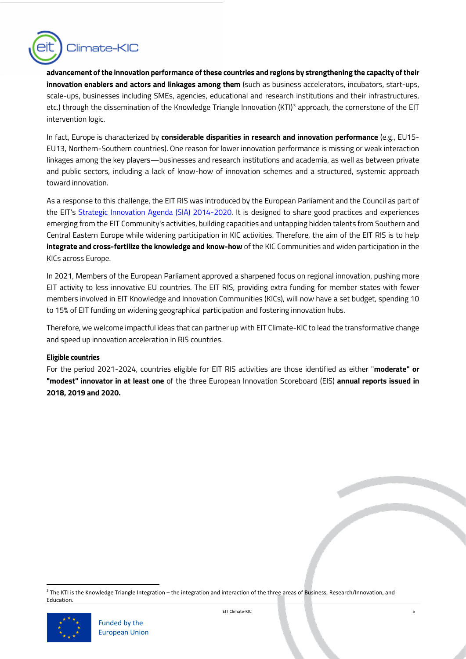

**advancement of the innovation performance of these countries and regions by strengthening the capacity of their innovation enablers and actors and linkages among them** (such as business accelerators, incubators, start-ups, scale-ups, businesses including SMEs, agencies, educational and research institutions and their infrastructures, etc.) through the dissemination of the Knowledge Triangle Innovation (KTI)<sup>[3](#page-4-0)</sup> approach, the cornerstone of the EIT intervention logic.

In fact, Europe is characterized by **considerable disparities in research and innovation performance** (e.g., EU15- EU13, Northern-Southern countries). One reason for lower innovation performance is missing or weak interaction linkages among the key players—businesses and research institutions and academia, as well as between private and public sectors, including a lack of know-how of innovation schemes and a structured, systemic approach toward innovation.

As a response to this challenge, the EIT RIS was introduced by the European Parliament and the Council as part of the [EIT's Strategic Innovation Agenda \(SIA\) 2014-2020.](https://eit.europa.eu/sites/default/files/Strategic%20Innovation%20Agenda%20%28SIA%29.pdf) It is designed to share good practices and experiences emerging from the EIT Community's activities, building capacities and untapping hidden talents from Southern and Central Eastern Europe while widening participation in KIC activities. Therefore, the aim of the EIT RIS is to help **integrate and cross-fertilize the knowledge and know-how** of the KIC Communities and widen participation in the KICs across Europe.

In 2021, Members of the European Parliament approved a sharpened focus on regional innovation, pushing more EIT activity to less innovative EU countries. The EIT RIS, providing extra funding for member states with fewer members involved in EIT Knowledge and Innovation Communities (KICs), will now have a set budget, spending 10 to 15% of EIT funding on widening geographical participation and fostering innovation hubs.

Therefore, we welcome impactful ideas that can partner up with EIT Climate-KIC to lead the transformative change and speed up innovation acceleration in RIS countries.

## *Eligible countries*

For the period 2021-2024, countries eligible for EIT RIS activities are those identified as either "**moderate" or "modest" innovator in at least one** of the three European Innovation Scoreboard (EIS) **annual reports issued in 2018, 2019 and 2020.**

<span id="page-4-0"></span><sup>3</sup> The KTI is the Knowledge Triangle Integration – the integration and interaction of the three areas of Business, Research/Innovation, and Education.

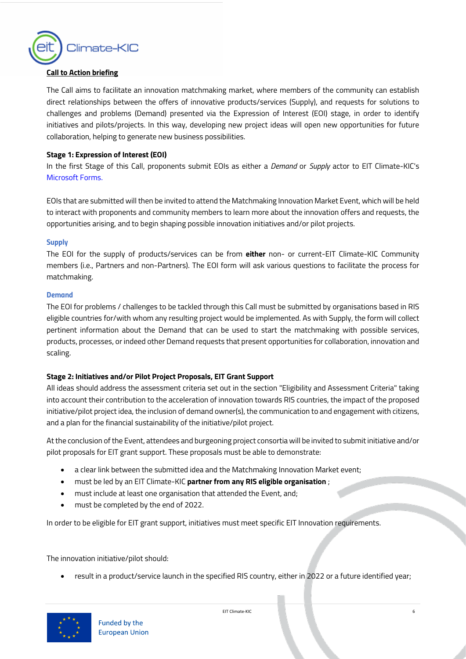

## **Call to Action briefing**

The Call aims to facilitate an innovation matchmaking market, where members of the community can establish direct relationships between the offers of innovative products/services (Supply), and requests for solutions to challenges and problems (Demand) presented via the Expression of Interest (EOI) stage, in order to identify initiatives and pilots/projects. In this way, developing new project ideas will open new opportunities for future collaboration, helping to generate new business possibilities.

## **Stage 1: Expression of Interest (EOI)**

In the first Stage of this Call, proponents submit EOIs as either a *Demand* or *Supply* actor to EIT Climate-KIC's [Microsoft Forms.](https://forms.office.com/r/ZSLhGWtCgq)

EOIs that are submitted will then be invited to attend the Matchmaking Innovation Market Event, which will be held to interact with proponents and community members to learn more about the innovation offers and requests, the opportunities arising, and to begin shaping possible innovation initiatives and/or pilot projects.

#### *Supply*

The EOI for the supply of products/services can be from **either** non- or current-EIT Climate-KIC Community members (i.e., Partners and non-Partners). The EOI form will ask various questions to facilitate the process for matchmaking.

#### *Demand*

The EOI for problems / challenges to be tackled through this Call must be submitted by organisations based in RIS eligible countries for/with whom any resulting project would be implemented. As with Supply, the form will collect pertinent information about the Demand that can be used to start the matchmaking with possible services, products, processes, or indeed other Demand requests that present opportunities for collaboration, innovation and scaling.

## **Stage 2: Initiatives and/or Pilot Project Proposals, EIT Grant Support**

All ideas should address the assessment criteria set out in the section "Eligibility and Assessment Criteria" taking into account their contribution to the acceleration of innovation towards RIS countries, the impact of the proposed initiative/pilot project idea, the inclusion of demand owner(s), the communication to and engagement with citizens, and a plan for the financial sustainability of the initiative/pilot project.

At the conclusion of the Event, attendees and burgeoning project consortia will be invited to submit initiative and/or pilot proposals for EIT grant support. These proposals must be able to demonstrate:

- a clear link between the submitted idea and the Matchmaking Innovation Market event;
- must be led by an EIT Climate-KIC **partner from any RIS eligible organisation** ;
- must include at least one organisation that attended the Event, and;
- must be completed by the end of 2022.

In order to be eligible for EIT grant support, initiatives must meet specific EIT Innovation requirements.

The innovation initiative/pilot should:

• result in a product/service launch in the specified RIS country, either in 2022 or a future identified year;

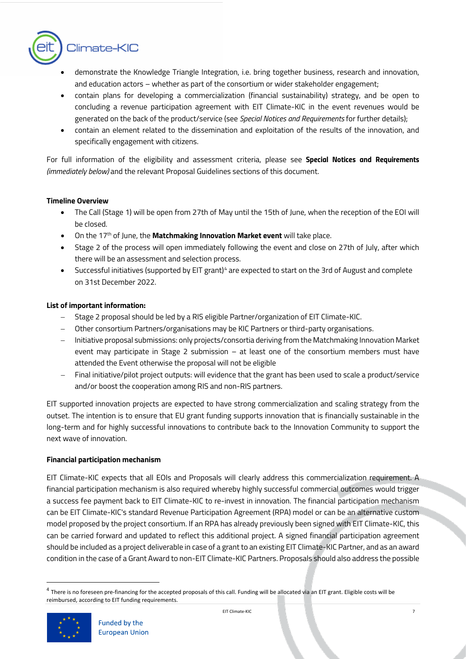

- demonstrate the Knowledge Triangle Integration, i.e. bring together business, research and innovation, and education actors – whether as part of the consortium or wider stakeholder engagement;
- contain plans for developing a commercialization (financial sustainability) strategy, and be open to concluding a revenue participation agreement with EIT Climate-KIC in the event revenues would be generated on the back of the product/service (see *Special Notices and Requirements* for further details);
- contain an element related to the dissemination and exploitation of the results of the innovation, and specifically engagement with citizens.

For full information of the eligibility and assessment criteria, please see *Special Notices and Requirements (immediately below)* and the relevant Proposal Guidelines sections of this document.

## **Timeline Overview**

- The Call (Stage 1) will be open from 27th of May until the 15th of June, when the reception of the EOI will be closed.
- On the 17th of June, the **Matchmaking Innovation Market event** will take place.
- Stage 2 of the process will open immediately following the event and close on 27th of July, after which there will be an assessment and selection process.
- Successful initiatives (supported by EIT grant)<sup>[4](#page-6-0)</sup> are expected to start on the 3rd of August and complete on 31st December 2022.

# **List of important information:**

- − Stage 2 proposal should be led by a RIS eligible Partner/organization of EIT Climate-KIC.
- Other consortium Partners/organisations may be KIC Partners or third-party organisations.
- − Initiative proposal submissions: only projects/consortia deriving from the Matchmaking Innovation Market event may participate in Stage 2 submission – at least one of the consortium members must have attended the Event otherwise the proposal will not be eligible
- − Final initiative/pilot project outputs: will evidence that the grant has been used to scale a product/service and/or boost the cooperation among RIS and non-RIS partners.

EIT supported innovation projects are expected to have strong commercialization and scaling strategy from the outset. The intention is to ensure that EU grant funding supports innovation that is financially sustainable in the long-term and for highly successful innovations to contribute back to the Innovation Community to support the next wave of innovation.

## **Financial participation mechanism**

EIT Climate-KIC expects that all EOIs and Proposals will clearly address this commercialization requirement. A financial participation mechanism is also required whereby highly successful commercial outcomes would trigger a success fee payment back to EIT Climate-KIC to re-invest in innovation. The financial participation mechanism can be EIT Climate-KIC's standard Revenue Participation Agreement (RPA) model or can be an alternative custom model proposed by the project consortium. If an RPA has already previously been signed with EIT Climate-KIC, this can be carried forward and updated to reflect this additional project. A signed financial participation agreement should be included as a project deliverable in case of a grant to an existing EIT Climate-KIC Partner, and as an award condition in the case of a Grant Award to non-EIT Climate-KIC Partners. Proposals should also address the possible

<span id="page-6-0"></span><sup>&</sup>lt;sup>4</sup> There is no foreseen pre-financing for the accepted proposals of this call. Funding will be allocated via an EIT grant. Eligible costs will be reimbursed, according to EIT funding requirements.

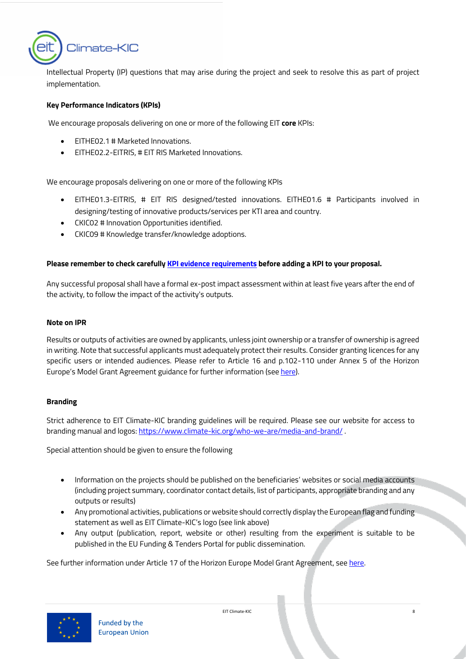

Intellectual Property (IP) questions that may arise during the project and seek to resolve this as part of project implementation.

## **Key Performance Indicators (KPIs)**

We encourage proposals delivering on one or more of the following EIT **core** KPIs:

- EITHE02.1 # Marketed Innovations.
- EITHE02.2-EITRIS, # EIT RIS Marketed Innovations.

We encourage proposals delivering on one or more of the following KPIs

- EITHE01.3-EITRIS, # EIT RIS designed/tested innovations. EITHE01.6 # Participants involved in designing/testing of innovative products/services per KTI area and country.
- CKIC02 # Innovation Opportunities identified.
- CKIC09 # Knowledge transfer/knowledge adoptions.

## **Please remember to check carefully [KPI evidence requirements](https://eitclimatekic.sharepoint.com/:b:/s/OPSTEAM/ERus6C_JlDhFnvDbCzNe-JwBV42z1-g33dfap27I1thAeQ?e=5PdP3G) before adding a KPI to your proposal.**

Any successful proposal shall have a formal ex-post impact assessment within at least five years after the end of the activity, to follow the impact of the activity's outputs.

#### **Note on IPR**

Results or outputs of activities are owned by applicants, unless joint ownership or a transfer of ownership is agreed in writing. Note that successful applicants must adequately protect their results. Consider granting licences for any specific users or intended audiences. Please refer to Article 16 and p.102-110 under Annex 5 of the Horizon Europe's Model Grant Agreement guidance for further information (see [here\)](https://ec.europa.eu/info/funding-tenders/opportunities/docs/2021-2027/common/agr-contr/general-mga_horizon-euratom_en.pdf).

## **Branding**

Strict adherence to EIT Climate-KIC branding guidelines will be required. Please see our website for access to branding manual and logos[: https://www.climate-kic.org/who-we-are/media-and-brand/](https://www.climate-kic.org/who-we-are/media-and-brand/) .

Special attention should be given to ensure the following

- Information on the projects should be published on the beneficiaries' websites or social media accounts (including project summary, coordinator contact details, list of participants, appropriate branding and any outputs or results)
- Any promotional activities, publications or website should correctly display the European flag and funding statement as well as EIT Climate-KIC's logo (see link above)
- Any output (publication, report, website or other) resulting from the experiment is suitable to be published in the EU Funding & Tenders Portal for public dissemination.

See further information under Article 17 of the Horizon Europe Model Grant Agreement, se[e here.](https://ec.europa.eu/info/funding-tenders/opportunities/docs/2021-2027/common/agr-contr/general-mga_horizon-euratom_en.pdf)



EIT Climate-KIC 8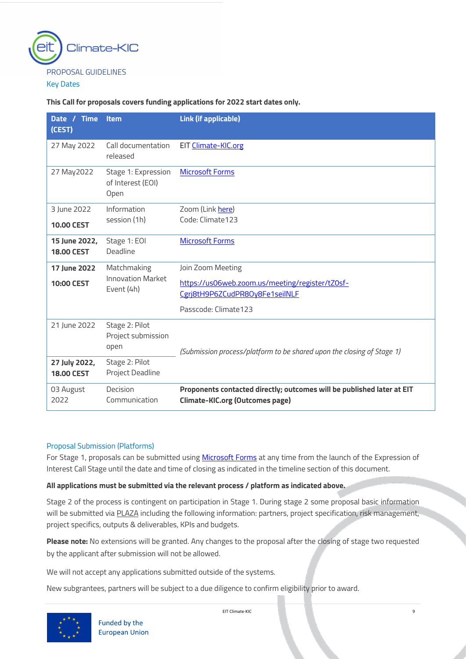

<span id="page-8-0"></span>Key Dates

## **This Call for proposals covers funding applications for 2022 start dates only.**

| Date / Time<br>(CEST)              | <b>Item</b>                                      | Link (if applicable)                                                                                             |
|------------------------------------|--------------------------------------------------|------------------------------------------------------------------------------------------------------------------|
| 27 May 2022                        | Call documentation<br>released                   | EIT Climate-KIC.org                                                                                              |
| 27 May 2022                        | Stage 1: Expression<br>of Interest (EOI)<br>Open | <b>Microsoft Forms</b>                                                                                           |
| 3 June 2022                        | Information                                      | Zoom (Link here)                                                                                                 |
| <b>10.00 CEST</b>                  | session (1h)                                     | Code: Climate 123                                                                                                |
| 15 June 2022,                      | Stage 1: EOI                                     | <b>Microsoft Forms</b>                                                                                           |
| <b>18.00 CEST</b>                  | Deadline                                         |                                                                                                                  |
| 17 June 2022                       | Matchmaking                                      | Join Zoom Meeting                                                                                                |
| <b>10:00 CEST</b>                  | <b>Innovation Market</b>                         | https://us06web.zoom.us/meeting/register/tZ0sf-                                                                  |
|                                    | Event (4h)                                       | Cgrj8tH9P6ZCudPR80y8Fe1seilNLF                                                                                   |
|                                    |                                                  | Passcode: Climate 123                                                                                            |
| 21 June 2022                       | Stage 2: Pilot<br>Project submission<br>open     | (Submission process/platform to be shared upon the closing of Stage 1)                                           |
| 27 July 2022,<br><b>18.00 CEST</b> | Stage 2: Pilot<br>Project Deadline               |                                                                                                                  |
| 03 August<br>2022                  | Decision<br>Communication                        | Proponents contacted directly; outcomes will be published later at EIT<br><b>Climate-KIC.org (Outcomes page)</b> |

## <span id="page-8-1"></span>Proposal Submission (Platforms)

For Stage 1, proposals can be submitted using [Microsoft Forms](https://forms.office.com/r/ZSLhGWtCgq) at any time from the launch of the Expression of Interest Call Stage until the date and time of closing as indicated in the timeline section of this document.

## **All applications must be submitted via the relevant process / platform as indicated above.**

Stage 2 of the process is contingent on participation in Stage 1. During stage 2 some proposal basic information will be submitted via PLAZA including the following information: partners, project specification, risk management, project specifics, outputs & deliverables, KPIs and budgets.

**Please note:** No extensions will be granted. Any changes to the proposal after the closing of stage two requested by the applicant after submission will not be allowed.

We will not accept any applications submitted outside of the systems.

New subgrantees, partners will be subject to a due diligence to confirm eligibility prior to award.

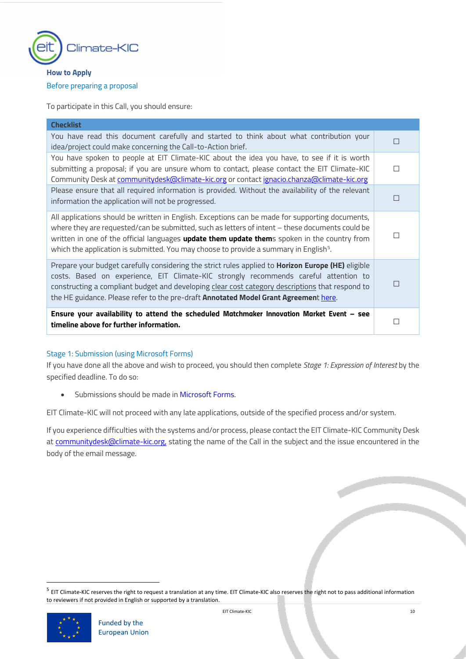

# <span id="page-9-1"></span><span id="page-9-0"></span>**How to Apply** Before preparing a proposal

To participate in this Call, you should ensure:

| <b>Checklist</b>                                                                                                                                                                                                                                                                                                                                                                                        |   |
|---------------------------------------------------------------------------------------------------------------------------------------------------------------------------------------------------------------------------------------------------------------------------------------------------------------------------------------------------------------------------------------------------------|---|
| You have read this document carefully and started to think about what contribution your<br>idea/project could make concerning the Call-to-Action brief.                                                                                                                                                                                                                                                 |   |
| You have spoken to people at EIT Climate-KIC about the idea you have, to see if it is worth<br>submitting a proposal; if you are unsure whom to contact, please contact the EIT Climate-KIC<br>Community Desk at communitydesk@climate-kic.org or contact ignacio.chanza@climate-kic.org                                                                                                                |   |
| Please ensure that all required information is provided. Without the availability of the relevant<br>information the application will not be progressed.                                                                                                                                                                                                                                                |   |
| All applications should be written in English. Exceptions can be made for supporting documents,<br>where they are requested/can be submitted, such as letters of intent - these documents could be<br>written in one of the official languages update them update thems spoken in the country from<br>which the application is submitted. You may choose to provide a summary in English <sup>5</sup> . |   |
| Prepare your budget carefully considering the strict rules applied to Horizon Europe (HE) eligible<br>costs. Based on experience, EIT Climate-KIC strongly recommends careful attention to<br>constructing a compliant budget and developing clear cost category descriptions that respond to<br>the HE guidance. Please refer to the pre-draft <b>Annotated Model Grant Agreemen</b> t here.           | □ |
| Ensure your availability to attend the scheduled Matchmaker Innovation Market Event - see<br>timeline above for further information.                                                                                                                                                                                                                                                                    |   |

# <span id="page-9-2"></span>Stage 1: Submission (using Microsoft Forms)

If you have done all the above and wish to proceed, you should then complete *Stage 1: Expression of Interest* by the specified deadline. To do so:

• Submissions should be made i[n Microsoft Forms.](https://forms.office.com/r/ZSLhGWtCgq) 

EIT Climate-KIC will not proceed with any late applications, outside of the specified process and/or system.

If you experience difficulties with the systems and/or process, please contact the EIT Climate-KIC Community Desk at [communitydesk@climate-kic.org,](mailto:communitydesk@climate-kic.org) stating the name of the Call in the subject and the issue encountered in the body of the email message.

<span id="page-9-3"></span><sup>&</sup>lt;sup>5</sup> EIT Climate-KIC reserves the right to request a translation at any time. EIT Climate-KIC also reserves the right not to pass additional information to reviewers if not provided in English or supported by a translation.

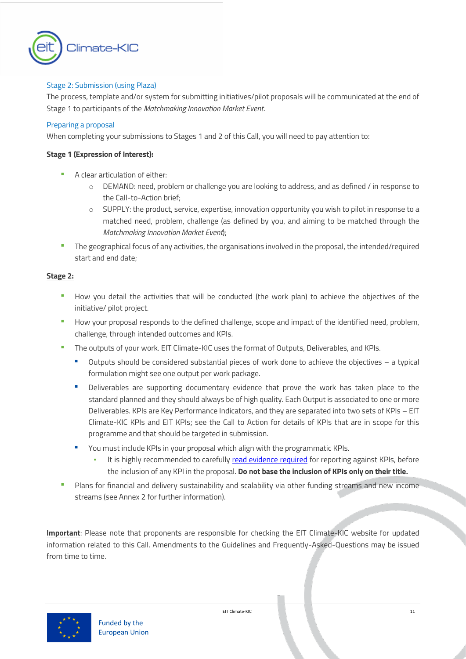

## <span id="page-10-0"></span>Stage 2: Submission (using Plaza)

The process, template and/or system for submitting initiatives/pilot proposals will be communicated at the end of Stage 1 to participants of the *Matchmaking Innovation Market Event*.

## <span id="page-10-1"></span>Preparing a proposal

When completing your submissions to Stages 1 and 2 of this Call, you will need to pay attention to:

## **Stage 1 (Expression of Interest):**

- A clear articulation of either:
	- o DEMAND: need, problem or challenge you are looking to address, and as defined / in response to the Call-to-Action brief;
	- o SUPPLY: the product, service, expertise, innovation opportunity you wish to pilot in response to a matched need, problem, challenge (as defined by you, and aiming to be matched through the *Matchmaking Innovation Market Event*);
- The geographical focus of any activities, the organisations involved in the proposal, the intended/required start and end date;

## **Stage 2:**

- How you detail the activities that will be conducted (the work plan) to achieve the objectives of the initiative/ pilot project.
- How your proposal responds to the defined challenge, scope and impact of the identified need, problem, challenge, through intended outcomes and KPIs.
- The outputs of your work. EIT Climate-KIC uses the format of Outputs, Deliverables, and KPIs.
	- Outputs should be considered substantial pieces of work done to achieve the objectives a typical formulation might see one output per work package.
	- Deliverables are supporting documentary evidence that prove the work has taken place to the standard planned and they should always be of high quality. Each Output is associated to one or more Deliverables. KPIs are Key Performance Indicators, and they are separated into two sets of KPIs – EIT Climate-KIC KPIs and EIT KPIs; see the Call to Action for details of KPIs that are in scope for this programme and that should be targeted in submission.
	- You must include KPIs in your proposal which align with the programmatic KPIs.
		- It is highly recommended to carefull[y read evidence required](http://www.climate-kic.org/partner-information-page/2021-kpi-guidance-for-partners/) for reporting against KPIs, before the inclusion of any KPI in the proposal. **Do not base the inclusion of KPIs only on their title.**
- Plans for financial and delivery sustainability and scalability via other funding streams and new income streams (see Annex 2 for further information).

**Important**: Please note that proponents are responsible for checking the EIT Climate-KIC website for updated information related to this Call. Amendments to the Guidelines and Frequently-Asked-Questions may be issued from time to time.

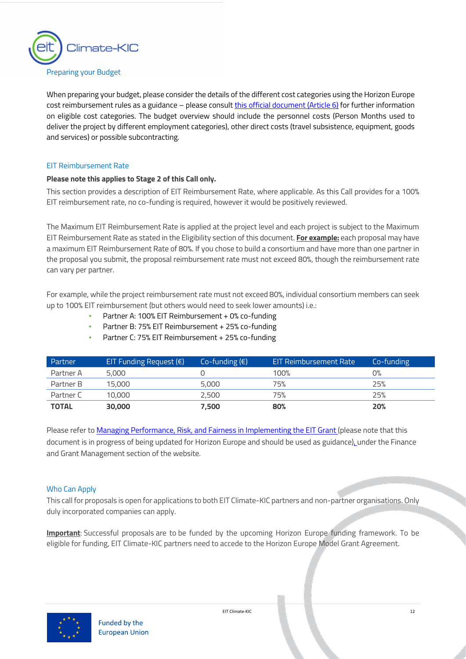

## <span id="page-11-0"></span>Preparing your Budget

When preparing your budget, please consider the details of the different cost categories using the Horizon Europe cost reimbursement rules as a guidance – please consult [this official document](https://ec.europa.eu/info/funding-tenders/opportunities/docs/2021-2027/common/agr-contr/general-mga_horizon-euratom_en.pdf) (Article 6) for further information on eligible cost categories. The budget overview should include the personnel costs (Person Months used to deliver the project by different employment categories), other direct costs (travel subsistence, equipment, goods and services) or possible subcontracting.

## <span id="page-11-1"></span>EIT Reimbursement Rate

## **Please note this applies to Stage 2 of this Call only.**

This section provides a description of EIT Reimbursement Rate, where applicable. As this Call provides for a 100% EIT reimbursement rate, no co-funding is required, however it would be positively reviewed.

The Maximum EIT Reimbursement Rate is applied at the project level and each project is subject to the Maximum EIT Reimbursement Rate as stated in the Eligibility section of this document. **For example:** each proposal may have a maximum EIT Reimbursement Rate of 80%. If you chose to build a consortium and have more than one partner in the proposal you submit, the proposal reimbursement rate must not exceed 80%, though the reimbursement rate can vary per partner.

For example, while the project reimbursement rate must not exceed 80%, individual consortium members can seek up to 100% EIT reimbursement (but others would need to seek lower amounts) i.e.:

- Partner A: 100% EIT Reimbursement  $+$  0% co-funding
- Partner B: 75% EIT Reimbursement + 25% co-funding
- Partner C: 75% EIT Reimbursement + 25% co-funding

| Partner      | EIT Funding Request $(\epsilon)$ | Co-funding $(\epsilon)$ | <b>EIT Reimbursement Rate</b> | Co-funding |
|--------------|----------------------------------|-------------------------|-------------------------------|------------|
| Partner A    | 5,000                            |                         | 100%                          | О%         |
| Partner B    | 15,000                           | 5,000                   | 75%                           | 25%        |
| Partner C    | 10,000                           | 2,500                   | 75%                           | 25%        |
| <b>TOTAL</b> | 30,000                           | 7,500                   | 80%                           | 20%        |

Please refer t[o Managing Performance, Risk, and Fairness in Implementing the EIT Grant](https://www.climate-kic.org/wp-content/uploads/2019/01/Policy-Note-Managing-Performance-Risk-Fairness-in-Implementing-EIT-Grant-v18b.pdf) (please note that this document is in progress [of being updated for Horizon Europe and should be used as guidance\), u](https://www.climate-kic.org/wp-content/uploads/2019/01/Policy-Note-Managing-Performance-Risk-Fairness-in-Implementing-EIT-Grant-v18b.pdf)nder the Finance and Grant Management section of the website.

## <span id="page-11-2"></span>Who Can Apply

This call for proposals is open for applications to both EIT Climate-KIC partners and non-partner organisations. Only duly incorporated companies can apply.

**Important**: Successful proposals are to be funded by the upcoming Horizon Europe funding framework. To be eligible for funding, EIT Climate-KIC partners need to accede to the Horizon Europe Model Grant Agreement.

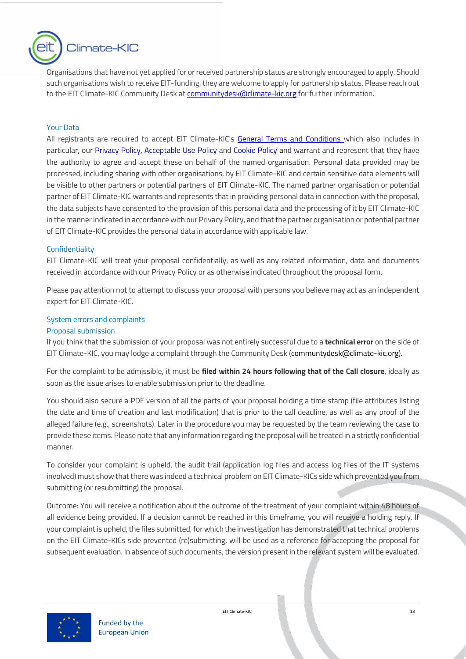

Organisations that have not yet applied for or received partnership status are strongly encouraged to apply. Should such organisations wish to receive EIT-funding, they are welcome to apply for partnership status. Please reach out to the EIT Climate-KIC Community Desk at [communitydesk@climate-kic.org](mailto:communitydesk@climate-kic.org) for further information.

## <span id="page-12-0"></span>Your Data

All registrants are required to accept EIT Climate-KIC's [General Terms and Conditions w](https://www.climate-kic.org/policies/?id=61)hich also includes in particular, our *[Privacy Policy,](https://www.climate-kic.org/policies/privacy-policy/) [Acceptable Use Policy](https://www.climate-kic.org/policies/acceptable-use-policy/)* and *Cookie Policy* and warrant and represent that they have the authority to agree and accept these on behalf of the named organisation. Personal data provided may be processed, including sharing with other organisations, by EIT Climate-KIC and certain sensitive data elements will be visible to other partners or potential partners of EIT Climate-KIC. The named partner organisation or potential partner of EIT Climate-KIC warrants and represents that in providing personal data in connection with the proposal, the data subjects have consented to the provision of this personal data and the processing of it by EIT Climate-KIC in the manner indicated in accordance with our Privacy Policy, and that the partner organisation or potential partner of EIT Climate-KIC provides the personal data in accordance with applicable law.

## <span id="page-12-1"></span>**Confidentiality**

EIT Climate-KIC will treat your proposal confidentially, as well as any related information, data and documents received in accordance with our Privacy Policy or as otherwise indicated throughout the proposal form.

Please pay attention not to attempt to discuss your proposal with persons you believe may act as an independent expert for EIT Climate-KIC.

## <span id="page-12-2"></span>System errors and complaints

#### Proposal submission

If you think that the submission of your proposal was not entirely successful due to a **technical error** on the side of EIT Climate-KIC, you may lodge a complaint through the Community Desk [\(communtydesk@climate-kic.org\)](mailto:communtydesk@climate-kic.org).

For the complaint to be admissible, it must be **filed within 24 hours following that of the Call closure**, ideally as soon as the issue arises to enable submission prior to the deadline.

You should also secure a PDF version of all the parts of your proposal holding a time stamp (file attributes listing the date and time of creation and last modification) that is prior to the call deadline, as well as any proof of the alleged failure (e.g., screenshots). Later in the procedure you may be requested by the team reviewing the case to provide these items. Please note that any information regarding the proposal will be treated in a strictly confidential manner.

To consider your complaint is upheld, the audit trail (application log files and access log files of the IT systems involved) must show that there was indeed a technical problem on EIT Climate-KICs side which prevented you from submitting (or resubmitting) the proposal.

Outcome: You will receive a notification about the outcome of the treatment of your complaint within 48 hours of all evidence being provided. If a decision cannot be reached in this timeframe, you will receive a holding reply. If your complaint is upheld, the files submitted, for which the investigation has demonstrated that technical problems on the EIT Climate-KICs side prevented (re)submitting, will be used as a reference for accepting the proposal for subsequent evaluation. In absence of such documents, the version present in the relevant system will be evaluated.

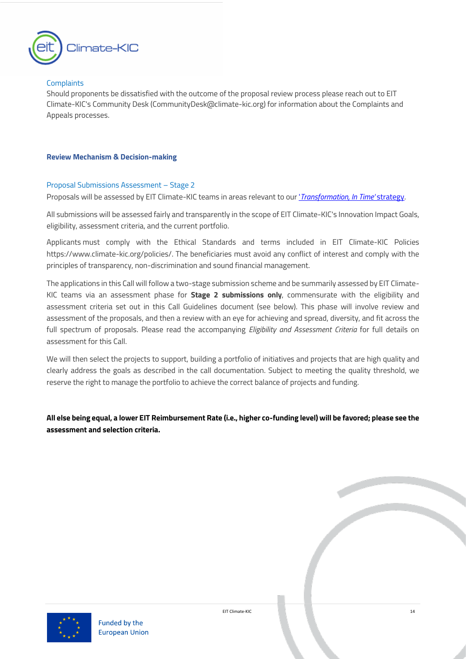

## **Complaints**

Should proponents be dissatisfied with the outcome of the proposal review process please reach out to EIT Climate-KIC's Community Desk (CommunityDesk@climate-kic.org) for information about the Complaints and Appeals processes.

## <span id="page-13-0"></span>**Review Mechanism & Decision-making**

## <span id="page-13-1"></span>Proposal Submissions Assessment – Stage 2

Proposals will be assessed by EIT Climate-KIC teams in areas relevant to our '*[Transformation, In Time'](chrome-extension://efaidnbmnnnibpcajpcglclefindmkaj/https:/www.climate-kic.org/wp-content/uploads/2018/12/Transformation-in-time.pdf)* strategy.

All submissions will be assessed fairly and transparently in the scope of EIT Climate-KIC's Innovation Impact Goals, eligibility, assessment criteria, and the current portfolio.

Applicants must comply with the Ethical Standards and terms included in EIT Climate-KIC Policies [https://www.climate-kic.org/policies/.](https://www.climate-kic.org/policies/) The beneficiaries must avoid any conflict of interest and comply with the principles of transparency, non-discrimination and sound financial management.

The applications in this Call will follow a two-stage submission scheme and be summarily assessed by EIT Climate-KIC teams via an assessment phase for **Stage 2 submissions only**, commensurate with the eligibility and assessment criteria set out in this Call Guidelines document (see below). This phase will involve review and assessment of the proposals, and then a review with an eye for achieving and spread, diversity, and fit across the full spectrum of proposals. Please read the accompanying *Eligibility and Assessment Criteria* for full details on assessment for this Call.

We will then select the projects to support, building a portfolio of initiatives and projects that are high quality and clearly address the goals as described in the call documentation. Subject to meeting the quality threshold, we reserve the right to manage the portfolio to achieve the correct balance of projects and funding.

**All else being equal, a lower EIT Reimbursement Rate (i.e., higher co-funding level) will be favored; please see the assessment and selection criteria.** 

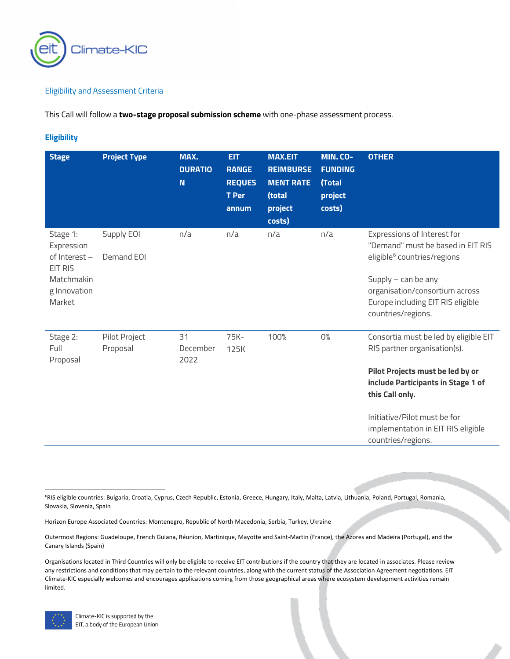

## Eligibility and Assessment Criteria

This Call will follow a **two-stage proposal submission scheme** with one-phase assessment process.

## <span id="page-14-0"></span>**Eligibility**

| <b>Stage</b>                                                                               | <b>Project Type</b>       | MAX.<br><b>DURATIO</b><br>N | <b>EIT</b><br><b>RANGE</b><br><b>REQUES</b><br><b>T</b> Per<br>annum | <b>MAX.EIT</b><br><b>REIMBURSE</b><br><b>MENT RATE</b><br>(total<br>project<br>costs) | MIN. CO-<br><b>FUNDING</b><br>(Total<br>project<br>costs) | <b>OTHER</b>                                                                                                                                                                                                                                                   |
|--------------------------------------------------------------------------------------------|---------------------------|-----------------------------|----------------------------------------------------------------------|---------------------------------------------------------------------------------------|-----------------------------------------------------------|----------------------------------------------------------------------------------------------------------------------------------------------------------------------------------------------------------------------------------------------------------------|
| Stage 1:<br>Expression<br>of Interest -<br>EIT RIS<br>Matchmakin<br>g Innovation<br>Market | Supply EOI<br>Demand EOI  | n/a                         | n/a                                                                  | n/a                                                                                   | n/a                                                       | Expressions of Interest for<br>"Demand" must be based in EIT RIS<br>eligible <sup>6</sup> countries/regions<br>Supply $-$ can be any<br>organisation/consortium across<br>Europe including EIT RIS eligible<br>countries/regions.                              |
| Stage 2:<br>Full<br>Proposal                                                               | Pilot Project<br>Proposal | 31<br>December<br>2022      | 75K-<br>125K                                                         | 100%                                                                                  | O%                                                        | Consortia must be led by eligible EIT<br>RIS partner organisation(s).<br>Pilot Projects must be led by or<br>include Participants in Stage 1 of<br>this Call only.<br>Initiative/Pilot must be for<br>implementation in EIT RIS eligible<br>countries/regions. |

<span id="page-14-1"></span><sup>6</sup>RIS eligible countries: Bulgaria, Croatia, Cyprus, Czech Republic, Estonia, Greece, Hungary, Italy, Malta, Latvia, Lithuania, Poland, Portugal, Romania, Slovakia, Slovenia, Spain

Horizon Europe Associated Countries: Montenegro, Republic of North Macedonia, Serbia, Turkey, Ukraine

Outermost Regions: Guadeloupe, French Guiana, Réunion, Martinique, Mayotte and Saint-Martin (France), the Azores and Madeira (Portugal), and the Canary Islands (Spain)

Organisations located in Third Countries will only be eligible to receive EIT contributions if the country that they are located in associates. Please review any restrictions and conditions that may pertain to the relevant countries, along with the current status of the Association Agreement negotiations. EIT Climate-KIC especially welcomes and encourages applications coming from those geographical areas where ecosystem development activities remain limited.

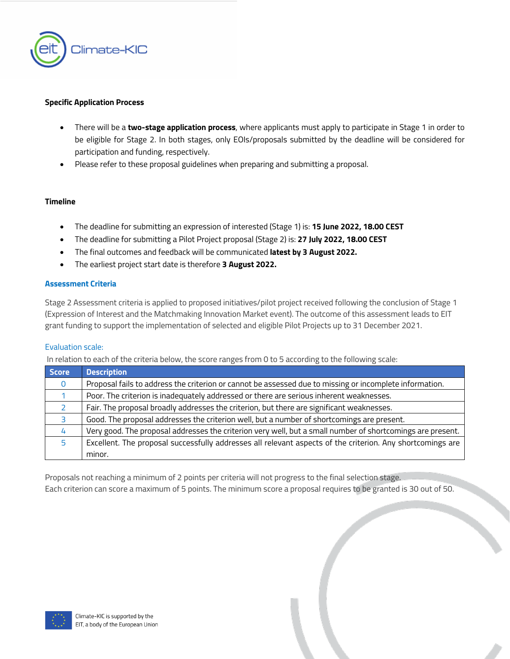

#### **Specific Application Process**

- There will be a **two-stage application process**, where applicants must apply to participate in Stage 1 in order to be eligible for Stage 2. In both stages, only EOIs/proposals submitted by the deadline will be considered for participation and funding, respectively.
- Please refer to these proposal guidelines when preparing and submitting a proposal.

## **Timeline**

- The deadline for submitting an expression of interested (Stage 1) is: **15 June 2022, 18.00 CEST**
- The deadline for submitting a Pilot Project proposal (Stage 2) is: **27 July 2022, 18.00 CEST**
- The final outcomes and feedback will be communicated **latest by 3 August 2022.**
- The earliest project start date is therefore **3 August 2022.**

## **Assessment Criteria**

Stage 2 Assessment criteria is applied to proposed initiatives/pilot project received following the conclusion of Stage 1 (Expression of Interest and the Matchmaking Innovation Market event). The outcome of this assessment leads to EIT grant funding to support the implementation of selected and eligible Pilot Projects up to 31 December 2021.

#### Evaluation scale:

In relation to each of the criteria below, the score ranges from 0 to 5 according to the following scale:

| Score | <b>Description</b>                                                                                         |
|-------|------------------------------------------------------------------------------------------------------------|
| 0     | Proposal fails to address the criterion or cannot be assessed due to missing or incomplete information.    |
|       | Poor. The criterion is inadequately addressed or there are serious inherent weaknesses.                    |
|       | Fair. The proposal broadly addresses the criterion, but there are significant weaknesses.                  |
| З     | Good. The proposal addresses the criterion well, but a number of shortcomings are present.                 |
| 4     | Very good. The proposal addresses the criterion very well, but a small number of shortcomings are present. |
| 5     | Excellent. The proposal successfully addresses all relevant aspects of the criterion. Any shortcomings are |
|       | minor.                                                                                                     |

Proposals not reaching a minimum of 2 points per criteria will not progress to the final selection stage. Each criterion can score a maximum of 5 points. The minimum score a proposal requires to be granted is 30 out of 50.

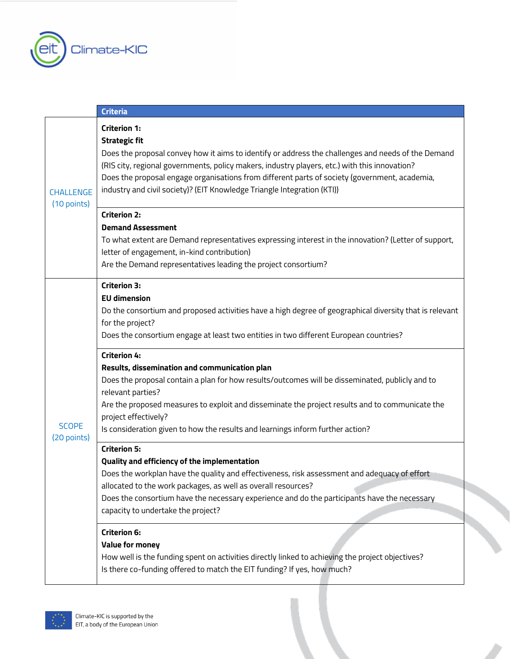

|                             | <b>Criteria</b>                                                                                                                                                                                                                                                                                                                                                                                                                                                                                                                                                                                                                                                                                            |
|-----------------------------|------------------------------------------------------------------------------------------------------------------------------------------------------------------------------------------------------------------------------------------------------------------------------------------------------------------------------------------------------------------------------------------------------------------------------------------------------------------------------------------------------------------------------------------------------------------------------------------------------------------------------------------------------------------------------------------------------------|
| CHALLENGE<br>(10 points)    | <b>Criterion 1:</b><br><b>Strategic fit</b><br>Does the proposal convey how it aims to identify or address the challenges and needs of the Demand<br>(RIS city, regional governments, policy makers, industry players, etc.) with this innovation?<br>Does the proposal engage organisations from different parts of society (government, academia,<br>industry and civil society)? (EIT Knowledge Triangle Integration (KTI))<br><b>Criterion 2:</b><br><b>Demand Assessment</b><br>To what extent are Demand representatives expressing interest in the innovation? (Letter of support,<br>letter of engagement, in-kind contribution)<br>Are the Demand representatives leading the project consortium? |
| <b>SCOPE</b><br>(20 points) | <b>Criterion 3:</b><br><b>EU dimension</b><br>Do the consortium and proposed activities have a high degree of geographical diversity that is relevant<br>for the project?<br>Does the consortium engage at least two entities in two different European countries?<br><b>Criterion 4:</b><br>Results, dissemination and communication plan<br>Does the proposal contain a plan for how results/outcomes will be disseminated, publicly and to<br>relevant parties?<br>Are the proposed measures to exploit and disseminate the project results and to communicate the<br>project effectively?                                                                                                              |
|                             | Is consideration given to how the results and learnings inform further action?<br><b>Criterion 5:</b><br>Quality and efficiency of the implementation<br>Does the workplan have the quality and effectiveness, risk assessment and adequacy of effort<br>allocated to the work packages, as well as overall resources?<br>Does the consortium have the necessary experience and do the participants have the necessary<br>capacity to undertake the project?<br><b>Criterion 6:</b><br><b>Value for money</b><br>How well is the funding spent on activities directly linked to achieving the project objectives?<br>Is there co-funding offered to match the EIT funding? If yes, how much?               |